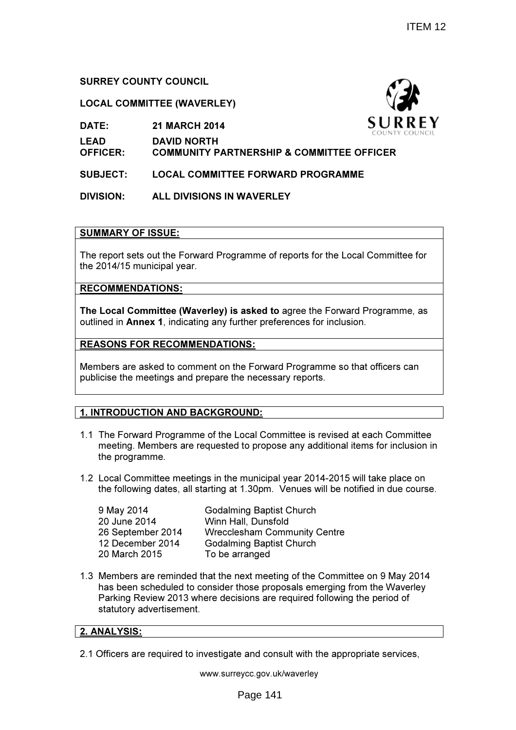# SURREY COUNTY COUNCIL

# LOCAL COMMITTEE (WAVERLEY)

DATE: 21 MARCH 2014

LEAD DAVID NORTH

OFFICER: COMMUNITY PARTNERSHIP & COMMITTEE OFFICER

SUBJECT: LOCAL COMMITTEE FORWARD PROGRAMME

DIVISION: ALL DIVISIONS IN WAVERLEY

# SUMMARY OF ISSUE:

The report sets out the Forward Programme of reports for the Local Committee for the 2014/15 municipal year.

RECOMMENDATIONS:

The Local Committee (Waverley) is asked to agree the Forward Programme, as outlined in Annex 1, indicating any further preferences for inclusion.

# REASONS FOR RECOMMENDATIONS:

Members are asked to comment on the Forward Programme so that officers can publicise the meetings and prepare the necessary reports.

# 1. INTRODUCTION AND BACKGROUND:

- 1.1 The Forward Programme of the Local Committee is revised at each Committee meeting. Members are requested to propose any additional items for inclusion in the programme.
- 1.2 Local Committee meetings in the municipal year 2014-2015 will take place on the following dates, all starting at 1.30pm. Venues will be notified in due course.

| 9 May 2014        | <b>Godalming Baptist Church</b>     |
|-------------------|-------------------------------------|
| 20 June 2014      | Winn Hall, Dunsfold                 |
| 26 September 2014 | <b>Wrecclesham Community Centre</b> |
| 12 December 2014  | <b>Godalming Baptist Church</b>     |
| 20 March 2015     | To be arranged                      |
|                   |                                     |

1.3 Members are reminded that the next meeting of the Committee on 9 May 2014 has been scheduled to consider those proposals emerging from the Waverley Parking Review 2013 where decisions are required following the period of statutory advertisement.

# 2. ANALYSIS:

2.1 Officers are required to investigate and consult with the appropriate services,